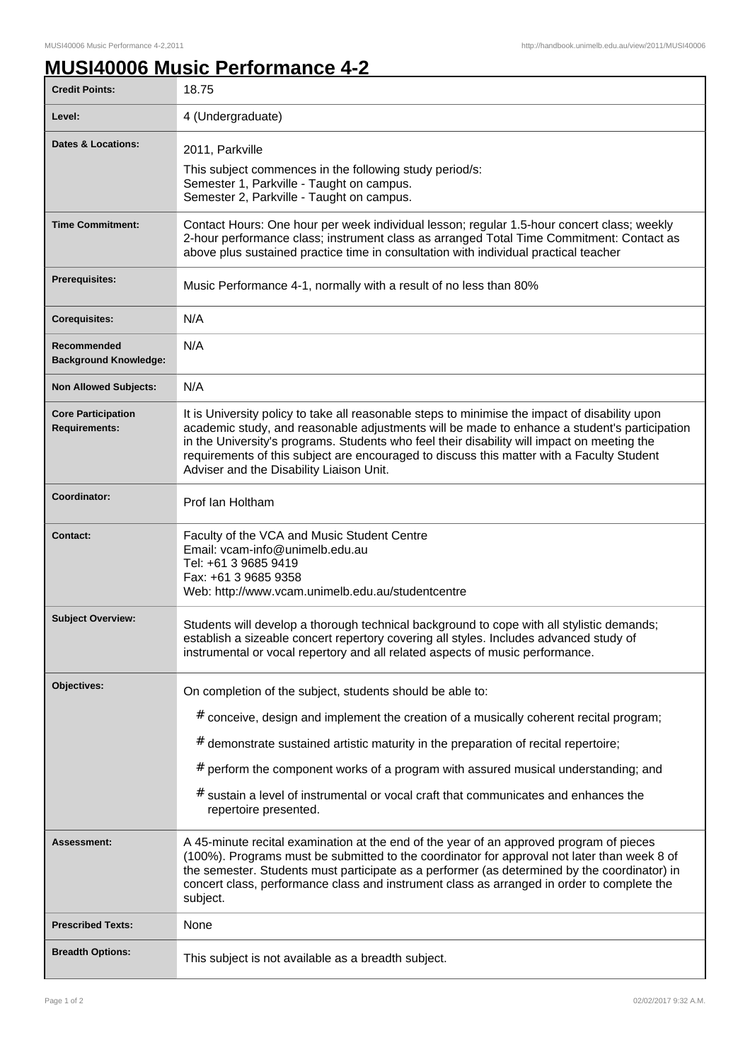## **MUSI40006 Music Performance 4-2**

| <b>Credit Points:</b>                             | 18.75                                                                                                                                                                                                                                                                                                                                                                                                                                              |
|---------------------------------------------------|----------------------------------------------------------------------------------------------------------------------------------------------------------------------------------------------------------------------------------------------------------------------------------------------------------------------------------------------------------------------------------------------------------------------------------------------------|
| Level:                                            | 4 (Undergraduate)                                                                                                                                                                                                                                                                                                                                                                                                                                  |
| <b>Dates &amp; Locations:</b>                     | 2011, Parkville<br>This subject commences in the following study period/s:<br>Semester 1, Parkville - Taught on campus.<br>Semester 2, Parkville - Taught on campus.                                                                                                                                                                                                                                                                               |
| <b>Time Commitment:</b>                           | Contact Hours: One hour per week individual lesson; regular 1.5-hour concert class; weekly<br>2-hour performance class; instrument class as arranged Total Time Commitment: Contact as<br>above plus sustained practice time in consultation with individual practical teacher                                                                                                                                                                     |
| <b>Prerequisites:</b>                             | Music Performance 4-1, normally with a result of no less than 80%                                                                                                                                                                                                                                                                                                                                                                                  |
| <b>Corequisites:</b>                              | N/A                                                                                                                                                                                                                                                                                                                                                                                                                                                |
| Recommended<br><b>Background Knowledge:</b>       | N/A                                                                                                                                                                                                                                                                                                                                                                                                                                                |
| <b>Non Allowed Subjects:</b>                      | N/A                                                                                                                                                                                                                                                                                                                                                                                                                                                |
| <b>Core Participation</b><br><b>Requirements:</b> | It is University policy to take all reasonable steps to minimise the impact of disability upon<br>academic study, and reasonable adjustments will be made to enhance a student's participation<br>in the University's programs. Students who feel their disability will impact on meeting the<br>requirements of this subject are encouraged to discuss this matter with a Faculty Student<br>Adviser and the Disability Liaison Unit.             |
| Coordinator:                                      | Prof Ian Holtham                                                                                                                                                                                                                                                                                                                                                                                                                                   |
| <b>Contact:</b>                                   | Faculty of the VCA and Music Student Centre<br>Email: vcam-info@unimelb.edu.au<br>Tel: +61 3 9685 9419<br>Fax: +61 3 9685 9358<br>Web: http://www.vcam.unimelb.edu.au/studentcentre                                                                                                                                                                                                                                                                |
| <b>Subject Overview:</b>                          | Students will develop a thorough technical background to cope with all stylistic demands;<br>establish a sizeable concert repertory covering all styles. Includes advanced study of<br>instrumental or vocal repertory and all related aspects of music performance.                                                                                                                                                                               |
| Objectives:                                       | On completion of the subject, students should be able to:<br># conceive, design and implement the creation of a musically coherent recital program;<br>$#$ demonstrate sustained artistic maturity in the preparation of recital repertoire;<br># perform the component works of a program with assured musical understanding; and<br># sustain a level of instrumental or vocal craft that communicates and enhances the<br>repertoire presented. |
| Assessment:                                       | A 45-minute recital examination at the end of the year of an approved program of pieces<br>(100%). Programs must be submitted to the coordinator for approval not later than week 8 of<br>the semester. Students must participate as a performer (as determined by the coordinator) in<br>concert class, performance class and instrument class as arranged in order to complete the<br>subject.                                                   |
| <b>Prescribed Texts:</b>                          | None                                                                                                                                                                                                                                                                                                                                                                                                                                               |
| <b>Breadth Options:</b>                           | This subject is not available as a breadth subject.                                                                                                                                                                                                                                                                                                                                                                                                |